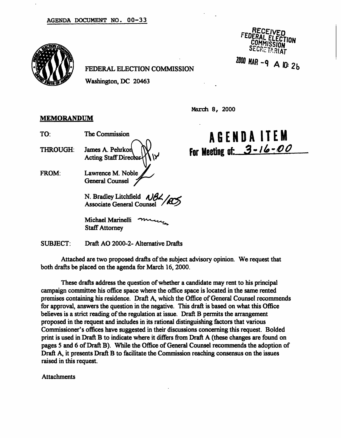

### FEDERAL ELECTION COMMISSION

Washington, DC 20463

RECFr ECTION SECRETARIAT

2000 MAR - 9 A IO: 2b

March 8, 2000

## **MEMORANDUM**

- 
- THROUGH: James A. Pehrkon  $\mathbb{N}$ . Acting Staff Director
- FROM: Lawrence M. Noble General Counsel

N. Bradley Litchfield  $\triangle$ Associate General Counsel

Michael Marinelli Staff Attorney

SUBJECT: Draft AO 2000-2- Alternative Drafts

Attached are two proposed drafts of the subject advisory opinion. We request that both drafts be placed on the agenda for March 16, 2000.

These drafts address the question of whether a candidate may rent to his principal campaign committee his office space where the office space is located in the same rented premises containing his residence. Draft A, which the Office of General Counsel recommends for approval, answers the question in the negative. This draft is based on what this Office believes is a strict reading of the regulation at issue. Draft B permits the arrangement proposed in the request and includes in its rational distinguishing factors that various Commissioner's offices have suggested in their discussions concerning this request. Bolded print is used in Draft B to indicate where it differs from Draft A (these changes are found on pages 5 and 6 of Draft B). While the Office of General Counsel recommends the adoption of Draft A, it presents Draft B to facilitate the Commission reaching consensus on the issues raised in this request.

Attachments

TO: The Commission  $A B E N D A I T E M$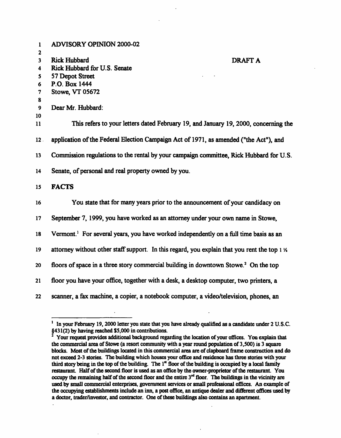| 1                 | <b>ADVISORY OPINION 2000-02</b>                                                                   |
|-------------------|---------------------------------------------------------------------------------------------------|
| $\mathbf{2}$<br>3 | <b>Rick Hubbard</b><br><b>DRAFT A</b>                                                             |
| 4                 | Rick Hubbard for U.S. Senate                                                                      |
| 5                 | 57 Depot Street                                                                                   |
| 6                 | P.O. Box 1444                                                                                     |
| 7                 | Stowe, VT 05672                                                                                   |
| 8                 |                                                                                                   |
| 9                 | Dear Mr. Hubbard:                                                                                 |
| 10                |                                                                                                   |
| 11                | This refers to your letters dated February 19, and January 19, 2000, concerning the               |
| 12 <sub>1</sub>   | application of the Federal Election Campaign Act of 1971, as amended ("the Act"), and             |
| 13                | Commission regulations to the rental by your campaign committee, Rick Hubbard for U.S.            |
| 14                | Senate, of personal and real property owned by you.                                               |
| 15                | <b>FACTS</b>                                                                                      |
| 16                | You state that for many years prior to the announcement of your candidacy on                      |
| 17                | September 7, 1999, you have worked as an attorney under your own name in Stowe,                   |
| 18                | Vermont. <sup>1</sup> For several years, you have worked independently on a full time basis as an |
| 19                | attorney without other staff support. In this regard, you explain that you rent the top 1 %       |
| 20                | floors of space in a three story commercial building in downtown Stowe. <sup>2</sup> On the top   |
| 21                | floor you have your office, together with a desk, a desktop computer, two printers, a             |
| 22                | scanner, a fax machine, a copier, a notebook computer, a video/television, phones, an             |

<sup>&</sup>lt;sup>1</sup> In your February 19, 2000 letter you state that you have already qualified as a candidate under 2 U.S.C. §431(2) by having reached \$5,000 in contributions. 2

Your request provides additional background regarding the location of your offices. You explain that the commercial area of Stowe (a resort community with a year round population of 3,500) is 3 square blocks. Most of the buildings located in this commercial area are of clapboard frame construction and do not exceed 2-3 stories. The building which houses your office and residence has three stories with your third story being in the top of the building. The 1" floor of the building is occupied by a local family restaurant. Half of the second floor is used as an office by the owner-proprietor of the restaurant. You occupy the remaining half of the second floor and the entire  $3<sup>rd</sup>$  floor. The buildings in the vicinity are used by small commercial enterprises, government services or small professional offices. An example of the occupying establishments include an inn, a post office, an antique dealer and different offices used by a doctor, trader/investor, and contractor. One of these buildings also contains an apartment.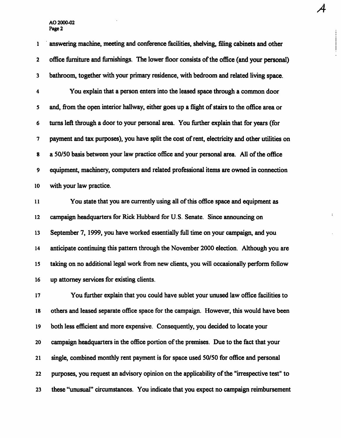1 answering machine, meeting and conference facilities, shelving, filing cabinets and other 2 office furniture and furnishings. The lower floor consists of the office (and your personal) 3 bathroom, together with your primary residence, with bedroom and related living space. 4 You explain that a person enters into the leased space through a common door

 $\mathcal A$ 

5 and, from the open interior hallway, either goes up a flight of stairs to the office area or 6 turns left through a door to your personal area. You further explain that for years (for 7 payment and tax purposes), you have split the cost of rent, electricity and other utilities on 8 a 50/50 basis between your law practice office and your personal area. All of the office 9 equipment, machinery, computers and related professional items are owned in connection 10 with your law practice.

11 You state that you are currently using all of this office space and equipment as 12 campaign headquarters for Rick Hubbard for U.S. Senate. Since announcing on 13 September 7, 1999, you have worked essentially full time on your campaign, and you 14 anticipate continuing this pattern through the November 2000 election. Although you are 15 taking on no additional legal work from new clients, you will occasionally perform follow 16 up attorney services for existing clients.

17 You further explain that you could have sublet your unused law office facilities to 18 others and leased separate office space for the campaign. However, this would have been 19 both less efficient and more expensive. Consequently, you decided to locate your 20 campaign headquarters in the office portion of the premises. Due to the fact that your 21 single, combined monthly rent payment is for space used 50/50 for office and personal 22 purposes, you request an advisory opinion on the applicability of the "irrespective test" to 23 these "unusual" circumstances. You indicate that you expect no campaign reimbursement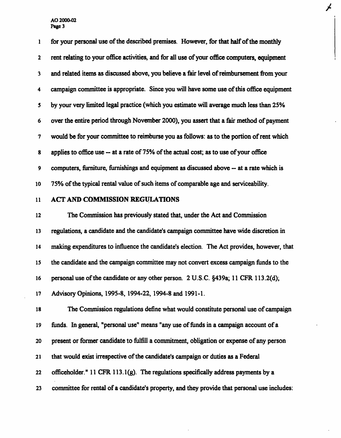1 for your personal use of the described premises. However, for that half of the monthly 2 rent relating to your office activities, and for all use of your office computers, equipment 3 and related items as discussed above, you believe a fair level of reimbursement from your 4 campaign committee is appropriate. Since you will have some use of this office equipment 5 by your very limited legal practice (which you estimate will average much less than 25% 6 over the entire period through November 2000), you assert that a fair method of payment 7 would be for your committee to reimburse you as follows: as to the portion of rent which 8 applies to office use — at a rate of 75% of the actual cost; as to use of your office 9 computers, furniture, furnishings and equipment as discussed above — at a rate which is 10 75% of the typical rental value of such items of comparable age and serviceability.

Ÿ

# 11 ACT AND COMMISSION REGULATIONS

12 The Commission has previously stated that, under the Act and Commission 13 regulations, a candidate and the candidate's campaign committee have wide discretion in 14 making expenditures to influence the candidate's election. The Act provides, however, that 15 the candidate and the campaign committee may not convert excess campaign funds to the 16 personal use of the candidate or any other person. 2 U.S.C. §439a; 11 CFR 113.2(d); 17 Advisory Opinions, 1995-8, 1994-22, 1994-8 and 1991-1.

18 The Commission regulations define what would constitute personal use of campaign 19 funds. In general, "personal use" means "any use of funds in a campaign account of a 20 present or former candidate to fulfill a commitment, obligation or expense of any person 21 that would exist irrespective of the candidate's campaign or duties as a Federal 22 officeholder." 11 CFR 113.l(g). The regulations specifically address payments by a 23 committee for rental of a candidate's property, and they provide that personal use includes: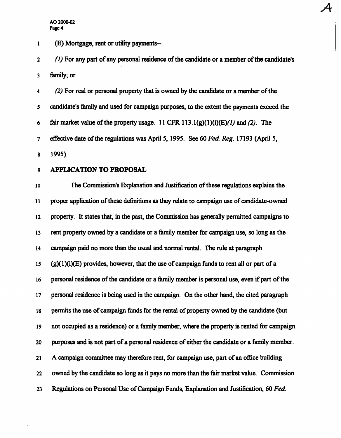1 (£) Mortgage, rent or utility payments—

2 (1) For any part of any personal residence of the candidate or a member of the candidate's 3 family; or

A

4 (2) For real or personal property that is owned by the candidate or a member of the 5 candidate's family and used for campaign purposes, to the extent the payments exceed the 6 fair market value of the property usage. 11 CFR 113.1(g)(1)(i)(E)(1) and (2). The 7 effective date of the regulations was April 5, 1995. See 60 Fed. Reg. 17193 (April 5, 8 1995).

## 9 APPLICATION TO PROPOSAL

10 The Commission's Explanation and Justification of these regulations explains the 11 proper application of these definitions as they relate to campaign use of candidate-owned 12 property. It states that, in the past, the Commission has generally permitted campaigns to 13 rent property owned by a candidate or a family member for campaign use, so long as the 14 campaign paid no more than the usual and normal rental. The rule at paragraph 15  $(g)(1)(i)(E)$  provides, however, that the use of campaign funds to rent all or part of a 16 personal residence of the candidate or a family member is personal use, even if part of the 17 personal residence is being used in the campaign. On the other hand, the cited paragraph 18 permits the use of campaign funds for the rental of property owned by the candidate (but 19 not occupied as a residence) or a family member, where the property is rented for campaign 20 purposes and is not part of a personal residence of either the candidate or a family member. 21 A campaign committee may therefore rent, for campaign use, part of an office building 22 owned by the candidate so long as it pays no more than the fair market value. Commission 23 Regulations on Personal Use of Campaign Funds, Explanation and Justification, 60 Fed.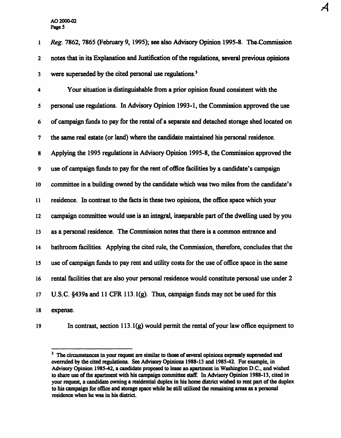1 Reg. 7862, 7865 (February 9, 1995); see also Advisory Opinion 1995-8. The-Commission 2 notes that in its Explanation and Justification of the regulations, several previous opinions 3 were superseded by the cited personal use regulations.<sup>3</sup> 4 Your situation is distinguishable from a prior opinion found consistent with the 5 personal use regulations. In Advisory Opinion 1993-1, the Commission approved the use 6 of campaign funds to pay for the rental of a separate and detached storage shed located on 7 the same real estate (or land) where the candidate maintained his personal residence. 8 Applying the 1995 regulations in Advisory Opinion 1995-8, the Commission approved the 9 use of campaign funds to pay for the rent of office facilities by a candidate's campaign 10 committee in a building owned by the candidate which was two miles from the candidate's 11 residence. In contrast to the facts in these two opinions, the office space which your 12 campaign committee would use is an integral, inseparable part of the dwelling used by you 13 as a personal residence. The Commission notes that there is a common entrance and 14 bathroom facilities. Applying the cited rule, the Commission, therefore, concludes that the 15 use of campaign funds to pay rent and utility costs for the use of office space in the same 16 rental facilities that are also your personal residence would constitute personal use under 2 17 U.S.C. §439a and 11 CFR 113. l(g). Thus, campaign funds may not be used for this 18 expense.

A

19 In contrast, section 113. l(g) would permit the rental of your law office equipment to

<sup>&</sup>lt;sup>3</sup> The circumstances in your request are similar to those of several opinions expressly superseded and overruled by the cited regulations. See Advisory Opinions 1988-13 and 1985-42. For example, in Advisory Opinion 1985-42, a candidate proposed to lease an apartment in Washington D.C., and wished to share use of the apartment with his campaign committee staff. In Advisory Opinion 1988-13, cited in your request, a candidate owning a residential duplex in his home district wished to rent part of the duplex to his campaign for office and storage space while he still utilized the remaining areas as a personal residence when he was in his district.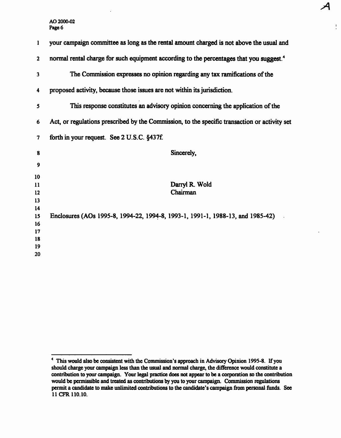| 1            | your campaign committee as long as the rental amount charged is not above the usual and             |
|--------------|-----------------------------------------------------------------------------------------------------|
| $\mathbf{2}$ | normal rental charge for such equipment according to the percentages that you suggest. <sup>4</sup> |
| 3            | The Commission expresses no opinion regarding any tax ramifications of the                          |
| 4            | proposed activity, because those issues are not within its jurisdiction.                            |
| 5            | This response constitutes an advisory opinion concerning the application of the                     |
| 6            | Act, or regulations prescribed by the Commission, to the specific transaction or activity set       |
| 7            | forth in your request. See 2 U.S.C. §437f.                                                          |
| 8            | Sincerely,                                                                                          |
| 9            |                                                                                                     |
| 10           |                                                                                                     |
| 11           | Darryl R. Wold                                                                                      |
| 12           | Chairman                                                                                            |
| 13           |                                                                                                     |
| 14           |                                                                                                     |
| 15           | Enclosures (AOs 1995-8, 1994-22, 1994-8, 1993-1, 1991-1, 1988-13, and 1985-42)                      |
| 16           |                                                                                                     |
| 17           |                                                                                                     |
| 18           |                                                                                                     |
| 19           |                                                                                                     |
| 20           |                                                                                                     |
|              |                                                                                                     |

 $\frac{1}{\pi}$ 

<sup>&</sup>lt;sup>4</sup> This would also be consistent with the Commission's approach in Advisory Opinion 1995-8. If you should charge your campaign less than the usual and normal charge, the difference would constitute a contribution to your campaign. Your legal practice does not appear to be a corporation so the contribution would be permissible and treated as contributions by you to your campaign. Commission regulations permit a candidate to make unlimited contributions to the candidate's campaign from personal funds. See 11 CFR 110.10.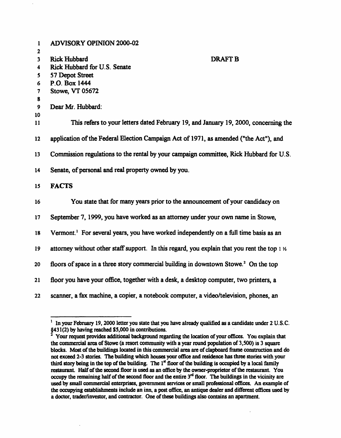|              | <b>ADVISORY OPINION 2000-02</b>                                                                        |
|--------------|--------------------------------------------------------------------------------------------------------|
| 1            |                                                                                                        |
| $\mathbf{2}$ | <b>DRAFT B</b>                                                                                         |
| 3            | <b>Rick Hubbard</b><br>Rick Hubbard for U.S. Senate                                                    |
| 4            |                                                                                                        |
| 5.           | 57 Depot Street<br>P.O. Box 1444                                                                       |
| 6            |                                                                                                        |
| 7            | <b>Stowe, VT 05672</b>                                                                                 |
| 8<br>9       | Dear Mr. Hubbard:                                                                                      |
| 10           |                                                                                                        |
| 11           | This refers to your letters dated February 19, and January 19, 2000, concerning the                    |
| 12           | application of the Federal Election Campaign Act of 1971, as amended ("the Act"), and                  |
| 13           | Commission regulations to the rental by your campaign committee, Rick Hubbard for U.S.                 |
| 14           | Senate, of personal and real property owned by you.                                                    |
| 15           | <b>FACTS</b>                                                                                           |
| 16           | You state that for many years prior to the announcement of your candidacy on                           |
| 17           | September 7, 1999, you have worked as an attorney under your own name in Stowe,                        |
| 18           | Vermont. <sup>1</sup> For several years, you have worked independently on a full time basis as an      |
| 19           | attorney without other staff support. In this regard, you explain that you rent the top $1\frac{1}{2}$ |
| 20           | floors of space in a three story commercial building in downtown Stowe. <sup>2</sup> On the top        |
| 21           | floor you have your office, together with a desk, a desktop computer, two printers, a                  |
| 22           | scanner, a fax machine, a copier, a notebook computer, a video/television, phones, an                  |

<sup>&</sup>lt;sup>1</sup> In your February 19, 2000 letter you state that you have already qualified as a candidate under 2 U.S.C.

<sup>§431(2)</sup> by having reached \$5,000 in contributions.<br><sup>2</sup> Your request provides additional background regarding the location of your offices. You explain that the commercial area of Stowe (a resort community with a year round population of 3,500) is 3 square blocks. Most of the buildings located in this commercial area are of clapboard frame construction and do not exceed 2-3 stories. The building which houses your office and residence has three stories with your third story being in the top of the building. The 1<sup>st</sup> floor of the building is occupied by a local family restaurant. Half of the second floor is used as an office by the owner-proprietor of the restaurant. You occupy the remaining half of the second floor and the entire  $3<sup>rd</sup>$  floor. The buildings in the vicinity are used by small commercial enterprises, government services or small professional offices. An example of the occupying establishments include an inn, a post office, an antique dealer and different offices used by a doctor, trader/investor, and contractor. One of these buildings also contains an apartment.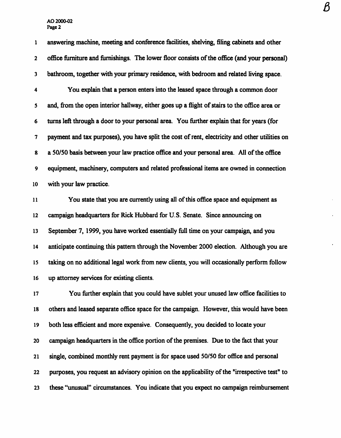1 answering machine, meeting and conference facilities, shelving, filing cabinets and other 2 office furniture and furnishings. The lower floor consists of the office (and your personal) 3 bathroom, together with your primary residence, with bedroom and related living space. 4 You explain that a person enters into the leased space through a common door 5 and, from the open interior hallway, either goes up a flight of stairs to the office area or 6 turns left through a door to your personal area. You further explain that for years (for 7 payment and tax purposes), you have split the cost of rent, electricity and other utilities on 8 a 50/50 basis between your law practice office and your personal area. All of the office 9 equipment, machinery, computers and related professional items are owned in connection 10 with your law practice.

11 You state that you are currently using all of this office space and equipment as 12 campaign headquarters for Rick Hubbard for U.S. Senate. Since announcing on 13 September 7, 1999, you have worked essentially full time on your campaign, and you 14 anticipate continuing this pattern through the November 2000 election. Although you are 15 taking on no additional legal work from new clients, you will occasionally perform follow 16 up attorney services for existing clients.

17 You further explain that you could have sublet your unused law office facilities to 18 others and leased separate office space for the campaign. However, this would have been 19 both less efficient and more expensive. Consequently, you decided to locate your 20 campaign headquarters in the office portion of the premises. Due to the fact that your 21 single, combined monthly rent payment is for space used 50/50 for office and personal 22 purposes, you request an advisory opinion on the applicability of the "irrespective test" to 23 these "unusual" circumstances. You indicate that you expect no campaign reimbursement  $\pmb{\beta}$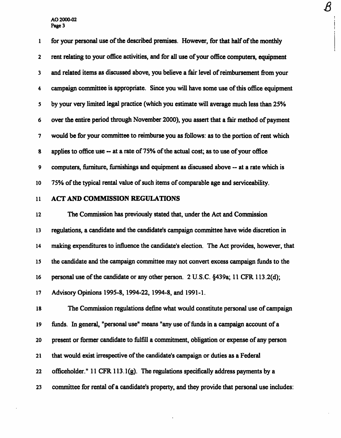1 for your personal use of the described premises. However, for that half of the monthly 2 rent relating to your office activities, and for all use of your office computers, equipment 3 and related items as discussed above, you believe a fair level of reimbursement from your 4 campaign committee is appropriate. Since you will have some use of this office equipment 5 by your very limited legal practice (which you estimate will average much less than 25% 6 over the entire period through November 2000), you assert that a fair method of payment 7 would be for your committee to reimburse you as follows: as to the portion of rent which 8 applies to office use ~ at a rate of 75% of the actual cost; as to use of your office 9 computers, furniture, furnishings and equipment as discussed above ~ at a rate which is 10 75% of the typical rental value of such items of comparable age and serviceability.

 $\overline{\mathcal{B}}$ 

# 11 ACT AND COMMISSION REGULATIONS

12 The Commission has previously stated that, under the Act and Commission 13 regulations, a candidate and the candidate's campaign committee have wide discretion in 14 making expenditures to influence the candidate's election. The Act provides, however, that 15 the candidate and the campaign committee may not convert excess campaign funds to the 16 personal use of the candidate or any other person. 2 U.S.C. §439a; 11 CFR 113.2(d); 17 Advisory Opinions 1995-8, 1994-22, 1994-8, and 1991-1.

18 The Commission regulations define what would constitute personal use of campaign 19 funds. In general, "personal use" means "any use of funds in a campaign account of a 20 present or former candidate to fulfill a commitment, obligation or expense of any person 21 that would exist irrespective of the candidate's campaign or duties as a Federal 22 officeholder." 11 CFR 113.l(g). The regulations specifically address payments by a 23 committee for rental of a candidate's property, and they provide that personal use includes: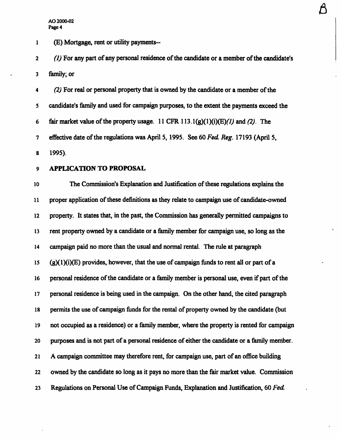1 (E) Mortgage, rent or utility payments—

2 (1) For any part of any personal residence of the candidate or a member of the candidate's 3 family; or

A

4 (2) For real or personal property that is owned by the candidate or a member of the 5 candidate's family and used for campaign purposes, to the extent the payments exceed the 6 fair market value of the property usage. 11 CFR 113.1(g)(1)(i)(E)(1) and (2). The 7 effective date of the regulations was April 5, 1995. See 60 Fed. Reg. 17193 (April 5, 8 1995).

9 APPLICATION TO PROPOSAL

10 The Commission's Explanation and Justification of these regulations explains the 11 proper application of these definitions as they relate to campaign use of candidate-owned 12 property. It states that, in the past, the Commission has generally permitted campaigns to 13 rent property owned by a candidate or a family member for campaign use, so long as the 14 campaign paid no more than the usual and normal rental. The rule at paragraph 15  $(g)(1)(i)(E)$  provides, however, that the use of campaign funds to rent all or part of a 16 personal residence of the candidate or a family member is personal use, even if part of the 17 personal residence is being used in the campaign. On the other hand, the cited paragraph 18 permits the use of campaign funds for the rental of property owned by the candidate (but 19 not occupied as a residence) or a family member, where the property is rented for campaign 20 purposes and is not part of a personal residence of either the candidate or a family member. 21 A campaign committee may therefore rent, for campaign use, part of an office building 22 owned by the candidate so long as it pays no more than the fair market value. Commission 23 Regulations on Personal Use of Campaign Funds, Explanation and Justification, 60 Fed.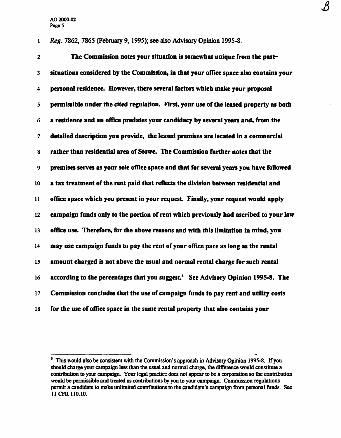1 Reg. 7862, 7865 (February 9, 1995); see also Advisory Opinion 1995-8.

2 The Commission notes your situation is somewhat unique from the past-3 situations considered by the Commission, in that your office space also contains your 4 personal residence. However, there several factors which make your proposal 5 permissible under the cited regulation. First, your use of the leased property as both 6 a residence and an office predates your candidacy by several years and, from the 7 detailed description you provide, the leased premises are located in a commercial 8 rather than residential area of Stowe. The Commission further notes that the 9 premises serves as your sole office space and that for several years you have followed 10 a tax treatment of the rent paid that reflects the division between residential and 11 office space which you present in your request. Finally, your request would apply 12 campaign funds only to the portion of rent which previously had ascribed to your law 13 office use. Therefore, for the above reasons and with this limitation in mind, you 14 may use campaign funds to pay the rent of your office pace as long as the rental 15 amount charged is not above the usual and normal rental charge for such rental 16 according to the percentages that you suggest.<sup>3</sup> See Advisory Opinion 1995-8. The 17 Commission concludes that the use of campaign funds to pay rent and utility costs 18 for the use of office space in the same rental property that also contains your

 $\mathcal{S}% _{M_{1},M_{2}}^{\alpha,\beta}(\varepsilon)$ 

<sup>&</sup>lt;sup>3</sup> This would also be consistent with the Commission's approach in Advisory Opinion 1995-8. If you should charge your campaign less than the usual and normal charge, the difference would constitute a contribution to your campaign. Your legal practice does not appear to be a corporation so the contribution would be permissible and treated as contributions by you to your campaign. Commission regulations permit a candidate to make unlimited contributions to the candidate's campaign from personal funds. See 11CFR110.10.